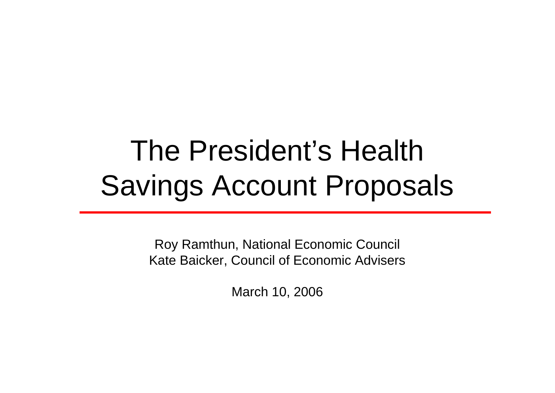# The President's Health Savings Account Proposals

Roy Ramthun, National Economic Council Kate Baicker, Council of Economic Advisers

March 10, 2006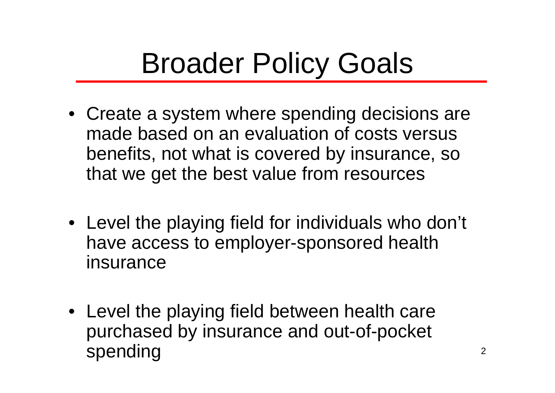## Broader Policy Goals

- Create a system where spending decisions are made based on an evaluation of costs versus benefits, not what is covered by insurance, so that we get the best value from resources
- Level the playing field for individuals who don't have access to employer-sponsored health insurance
- Level the playing field between health care purchased by insurance and out-of-pocket spending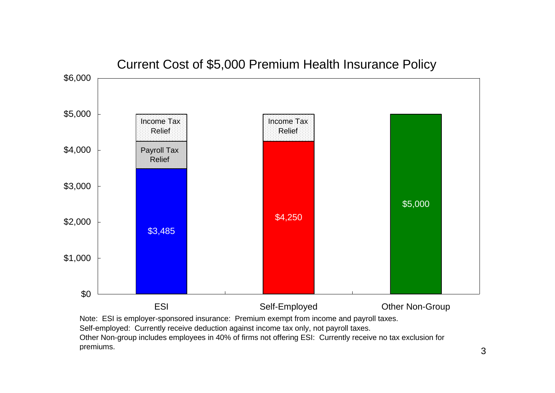

Current Cost of \$5,000 Premium Health Insurance Policy

Note: ESI is employer-sponsored insurance: Premium exempt from income and payroll taxes. Self-employed: Currently receive deduction against income tax only, not payroll taxes. Other Non-group includes employees in 40% of firms not offering ESI: Currently receive no tax exclusion for premiums.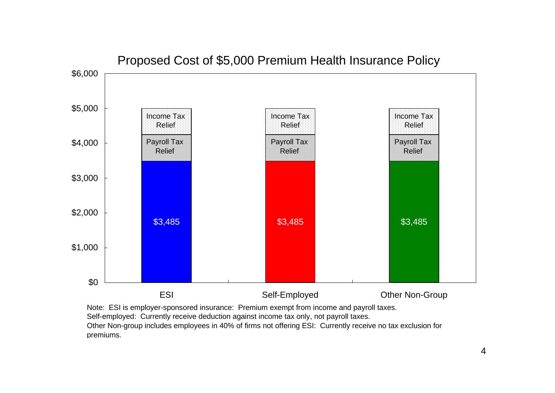

Proposed Cost of \$5,000 Premium Health Insurance Policy

Note: ESI is employer-sponsored insurance: Premium exempt from income and payroll taxes. Self-employed: Currently receive deduction against income tax only, not payroll taxes. Other Non-group includes employees in 40% of firms not offering ESI: Currently receive no tax exclusion for premiums.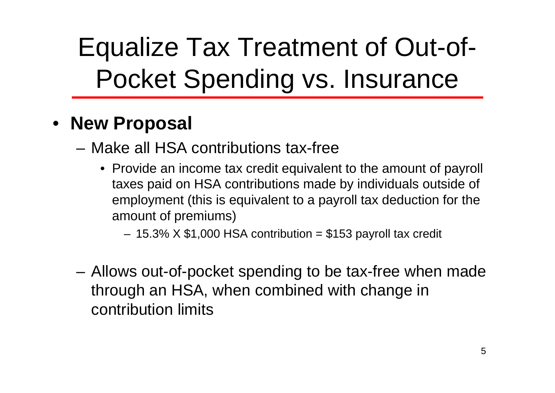# Equalize Tax Treatment of Out-of-Pocket Spending vs. Insurance

#### • **New Proposal**

- Make all HSA contributions tax-free
	- Provide an income tax credit equivalent to the amount of payroll taxes paid on HSA contributions made by individuals outside of employment (this is equivalent to a payroll tax deduction for the amount of premiums)

 $-$  15.3% X \$1,000 HSA contribution = \$153 payroll tax credit

– Allows out-of-pocket spending to be tax-free when made through an HSA, when combined with change in contribution limits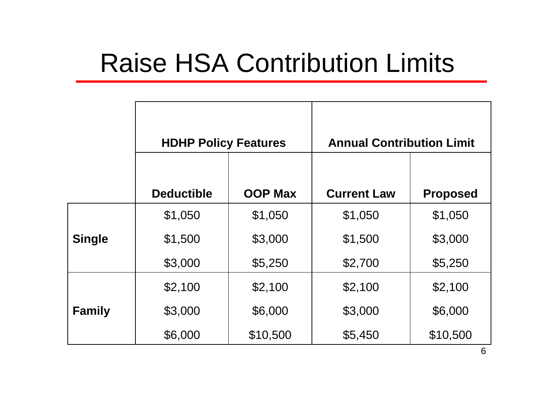#### Raise HSA Contribution Limits

|               | <b>HDHP Policy Features</b> |                | <b>Annual Contribution Limit</b> |                 |
|---------------|-----------------------------|----------------|----------------------------------|-----------------|
|               | <b>Deductible</b>           | <b>OOP Max</b> | <b>Current Law</b>               | <b>Proposed</b> |
|               | \$1,050                     | \$1,050        | \$1,050                          | \$1,050         |
| <b>Single</b> | \$1,500                     | \$3,000        | \$1,500                          | \$3,000         |
|               | \$3,000                     | \$5,250        | \$2,700                          | \$5,250         |
|               | \$2,100                     | \$2,100        | \$2,100                          | \$2,100         |
| <b>Family</b> | \$3,000                     | \$6,000        | \$3,000                          | \$6,000         |
|               | \$6,000                     | \$10,500       | \$5,450                          | \$10,500        |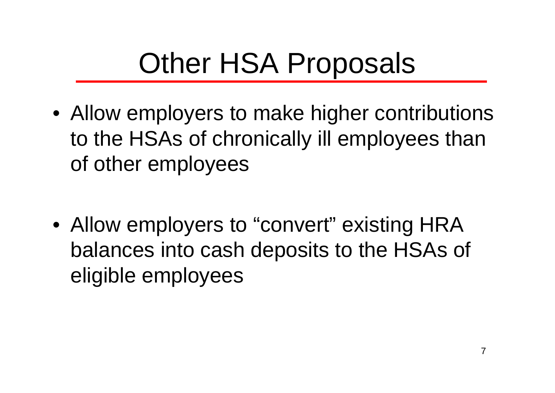# Other HSA Proposals

- Allow employers to make higher contributions to the HSAs of chronically ill employees than of other employees
- Allow employers to "convert" existing HRA balances into cash deposits to the HSAs of eligible employees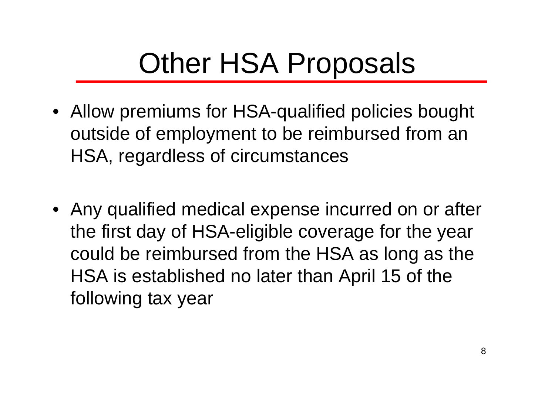## Other HSA Proposals

- Allow premiums for HSA-qualified policies bought outside of employment to be reimbursed from an HSA, regardless of circumstances
- Any qualified medical expense incurred on or after the first day of HSA-eligible coverage for the year could be reimbursed from the HSA as long as the HSA is established no later than April 15 of the following tax year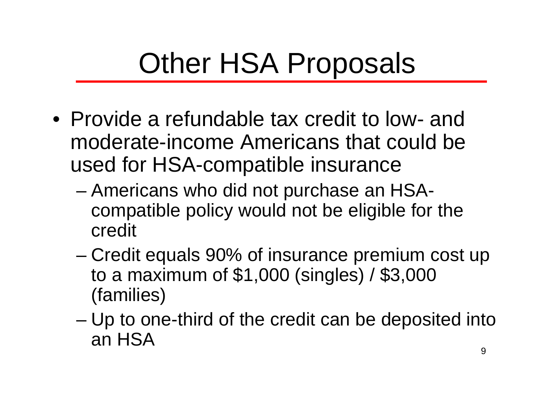# Other HSA Proposals

- Provide a refundable tax credit to low- and moderate-income Americans that could be used for HSA-compatible insurance
	- Americans who did not purchase an HSAcompatible policy would not be eligible for the credit
	- Credit equals 90% of insurance premium cost up to a maximum of \$1,000 (singles) / \$3,000 (families)
	- Up to one-third of the credit can be deposited into an HSA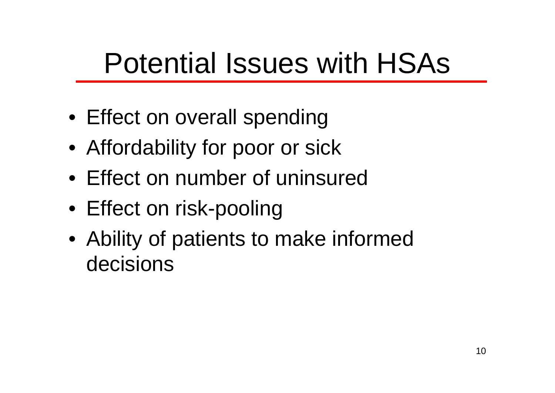# Potential Issues with HSAs

- Effect on overall spending
- Affordability for poor or sick
- Effect on number of uninsured
- Effect on risk-pooling
- Ability of patients to make informed decisions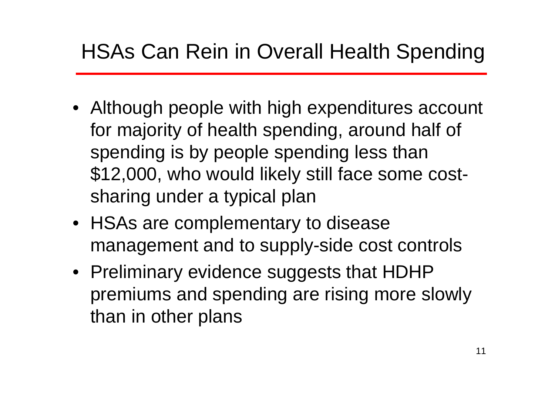#### HSAs Can Rein in Overall Health Spending

- Although people with high expenditures account for majority of health spending, around half of spending is by people spending less than \$12,000, who would likely still face some costsharing under a typical plan
- HSAs are complementary to disease management and to supply-side cost controls
- Preliminary evidence suggests that HDHP premiums and spending are rising more slowly than in other plans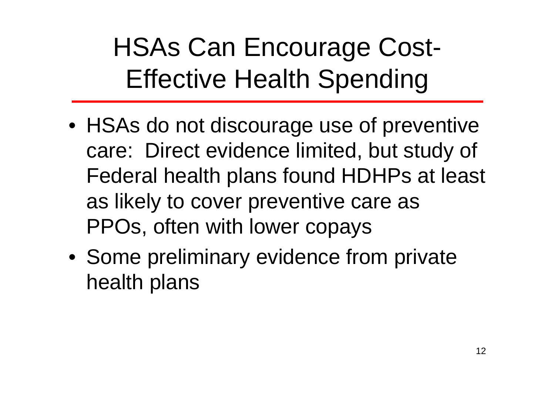## HSAs Can Encourage Cost-Effective Health Spending

- HSAs do not discourage use of preventive care: Direct evidence limited, but study of Federal health plans found HDHPs at least as likely to cover preventive care as PPOs, often with lower copays
- Some preliminary evidence from private health plans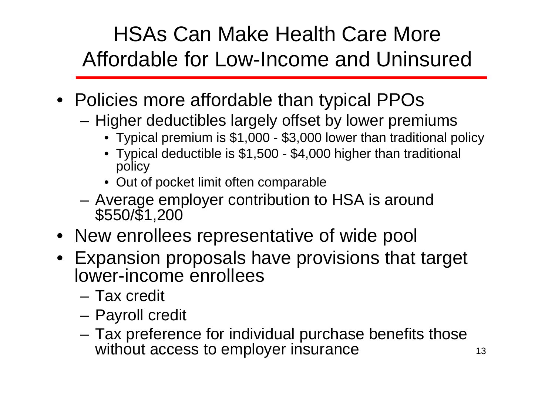#### HSAs Can Make Health Care More Affordable for Low-Income and Uninsured

- Policies more affordable than typical PPOs
	- Higher deductibles largely offset by lower premiums
		- Typical premium is \$1,000 \$3,000 lower than traditional policy
		- Typical deductible is \$1,500 \$4,000 higher than traditional policy
		- Out of pocket limit often comparable
	- Average employer contribution to HSA is around \$550/\$1,200
- New enrollees representative of wide pool
- Expansion proposals have provisions that target lower-income enrollees
	- Tax credit
	- Payroll credit
	- Tax preference for individual purchase benefits those without access to employer insurance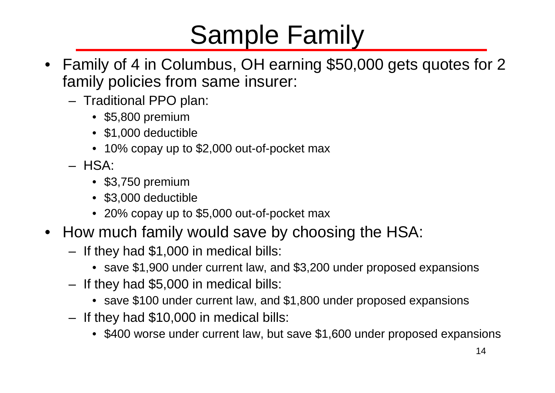#### Sample Family

- Family of 4 in Columbus, OH earning \$50,000 gets quotes for 2 family policies from same insurer:
	- Traditional PPO plan:
		- \$5,800 premium
		- \$1,000 deductible
		- 10% copay up to \$2,000 out-of-pocket max
	- HSA:
		- \$3,750 premium
		- \$3,000 deductible
		- 20% copay up to \$5,000 out-of-pocket max
- How much family would save by choosing the HSA:
	- If they had \$1,000 in medical bills:
		- save \$1,900 under current law, and \$3,200 under proposed expansions
	- If they had \$5,000 in medical bills:
		- save \$100 under current law, and \$1,800 under proposed expansions
	- If they had \$10,000 in medical bills:
		- \$400 worse under current law, but save \$1,600 under proposed expansions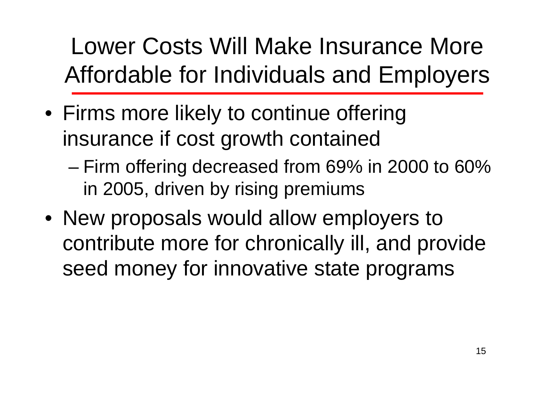Lower Costs Will Make Insurance More Affordable for Individuals and Employers

- Firms more likely to continue offering insurance if cost growth contained
	- Firm offering decreased from 69% in 2000 to 60% in 2005, driven by rising premiums
- New proposals would allow employers to contribute more for chronically ill, and provide seed money for innovative state programs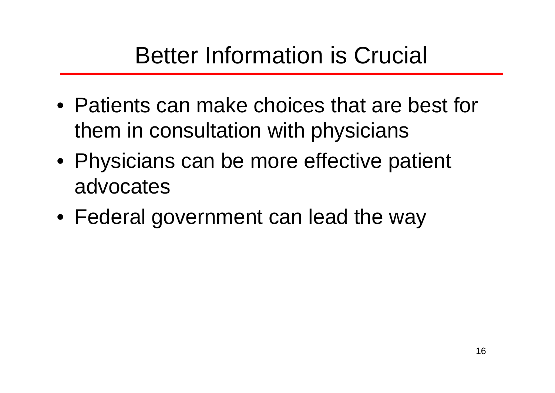- Patients can make choices that are best for them in consultation with physicians
- Physicians can be more effective patient advocates
- Federal government can lead the way